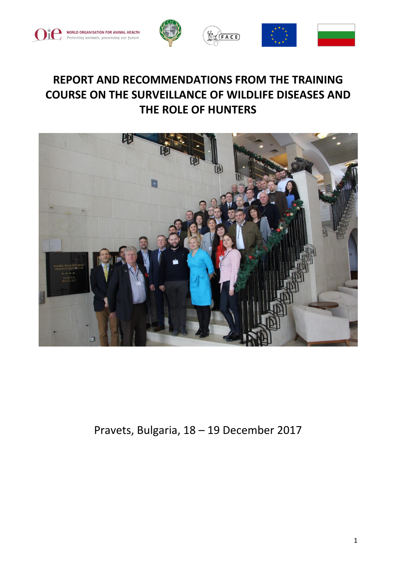







# **REPORT AND RECOMMENDATIONS FROM THE TRAINING COURSE ON THE SURVEILLANCE OF WILDLIFE DISEASES AND THE ROLE OF HUNTERS**



Pravets, Bulgaria, 18 – 19 December 2017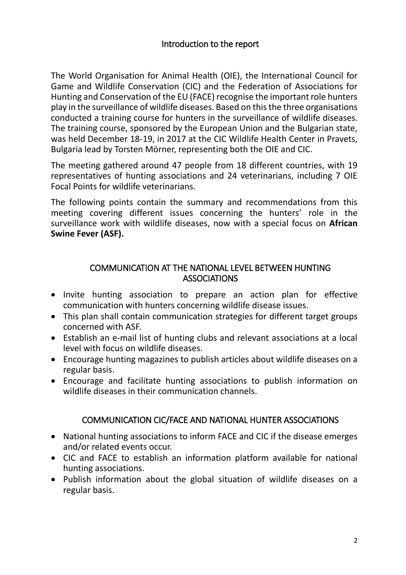The World Organisation for Animal Health (OIE), the International Council for Game and Wildlife Conservation (CIC) and the Federation of Associations for Hunting and Conservation of the EU (FACE) recognise the important role hunters play in the surveillance of wildlife diseases. Based on this the three organisations conducted a training course for hunters in the surveillance of wildlife diseases. The training course, sponsored by the European Union and the Bulgarian state, was held December 18-19, in 2017 at the CIC Wildlife Health Center in Pravets, Bulgaria lead by Torsten Mörner, representing both the OIE and CIC.

The meeting gathered around 47 people from 18 different countries, with 19 representatives of hunting associations and 24 veterinarians, including 7 OIE Focal Points for wildlife veterinarians.

The following points contain the summary and recommendations from this meeting covering different issues concerning the hunters' role in the surveillance work with wildlife diseases, now with a special focus on **African Swine Fever (ASF).**

#### COMMUNICATION AT THE NATIONAL LEVEL BETWEEN HUNTING **ASSOCIATIONS**

- Invite hunting association to prepare an action plan for effective communication with hunters concerning wildlife disease issues.
- This plan shall contain communication strategies for different target groups concerned with ASF.
- Establish an e-mail list of hunting clubs and relevant associations at a local level with focus on wildlife diseases.
- Encourage hunting magazines to publish articles about wildlife diseases on a regular basis.
- Encourage and facilitate hunting associations to publish information on wildlife diseases in their communication channels.

# COMMUNICATION CIC/FACE AND NATIONAL HUNTER ASSOCIATIONS

- National hunting associations to inform FACE and CIC if the disease emerges and/or related events occur.
- CIC and FACE to establish an information platform available for national hunting associations.
- Publish information about the global situation of wildlife diseases on a regular basis.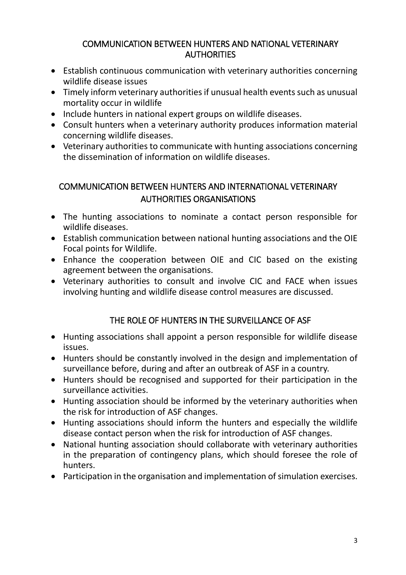#### COMMUNICATION BETWEEN HUNTERS AND NATIONAL VETERINARY **AUTHORITIES**

- Establish continuous communication with veterinary authorities concerning wildlife disease issues
- Timely inform veterinary authorities if unusual health events such as unusual mortality occur in wildlife
- Include hunters in national expert groups on wildlife diseases.
- Consult hunters when a veterinary authority produces information material concerning wildlife diseases.
- Veterinary authorities to communicate with hunting associations concerning the dissemination of information on wildlife diseases.

# COMMUNICATION BETWEEN HUNTERS AND INTERNATIONAL VETERINARY AUTHORITIES ORGANISATIONS

- The hunting associations to nominate a contact person responsible for wildlife diseases.
- Establish communication between national hunting associations and the OIE Focal points for Wildlife.
- Enhance the cooperation between OIE and CIC based on the existing agreement between the organisations.
- Veterinary authorities to consult and involve CIC and FACE when issues involving hunting and wildlife disease control measures are discussed.

# THE ROLE OF HUNTERS IN THE SURVEILLANCE OF ASF

- Hunting associations shall appoint a person responsible for wildlife disease issues.
- Hunters should be constantly involved in the design and implementation of surveillance before, during and after an outbreak of ASF in a country.
- Hunters should be recognised and supported for their participation in the surveillance activities.
- Hunting association should be informed by the veterinary authorities when the risk for introduction of ASF changes.
- Hunting associations should inform the hunters and especially the wildlife disease contact person when the risk for introduction of ASF changes.
- National hunting association should collaborate with veterinary authorities in the preparation of contingency plans, which should foresee the role of hunters.
- Participation in the organisation and implementation of simulation exercises.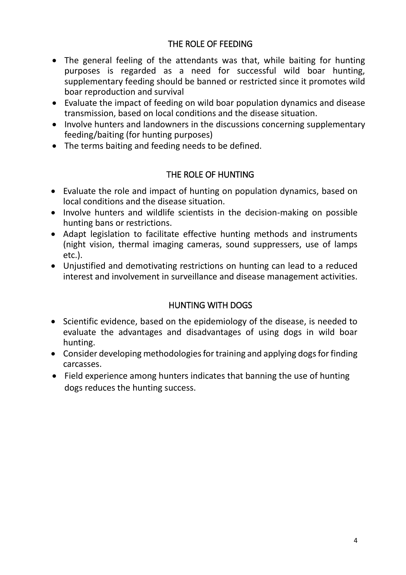#### THE ROLE OF FEEDING

- The general feeling of the attendants was that, while baiting for hunting purposes is regarded as a need for successful wild boar hunting, supplementary feeding should be banned or restricted since it promotes wild boar reproduction and survival
- Evaluate the impact of feeding on wild boar population dynamics and disease transmission, based on local conditions and the disease situation.
- Involve hunters and landowners in the discussions concerning supplementary feeding/baiting (for hunting purposes)
- The terms baiting and feeding needs to be defined.

#### THE ROLE OF HUNTING

- Evaluate the role and impact of hunting on population dynamics, based on local conditions and the disease situation.
- Involve hunters and wildlife scientists in the decision-making on possible hunting bans or restrictions.
- Adapt legislation to facilitate effective hunting methods and instruments (night vision, thermal imaging cameras, sound suppressers, use of lamps etc.).
- Unjustified and demotivating restrictions on hunting can lead to a reduced interest and involvement in surveillance and disease management activities.

# HUNTING WITH DOGS

- Scientific evidence, based on the epidemiology of the disease, is needed to evaluate the advantages and disadvantages of using dogs in wild boar hunting.
- Consider developing methodologies for training and applying dogs for finding carcasses.
- Field experience among hunters indicates that banning the use of hunting dogs reduces the hunting success.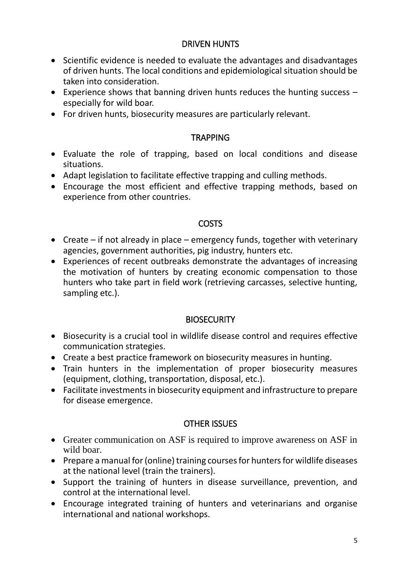#### DRIVEN HUNTS

- Scientific evidence is needed to evaluate the advantages and disadvantages of driven hunts. The local conditions and epidemiological situation should be taken into consideration.
- Experience shows that banning driven hunts reduces the hunting success especially for wild boar.
- For driven hunts, biosecurity measures are particularly relevant.

#### **TRAPPING**

- Evaluate the role of trapping, based on local conditions and disease situations.
- Adapt legislation to facilitate effective trapping and culling methods.
- Encourage the most efficient and effective trapping methods, based on experience from other countries.

#### **COSTS**

- Create if not already in place emergency funds, together with veterinary agencies, government authorities, pig industry, hunters etc.
- Experiences of recent outbreaks demonstrate the advantages of increasing the motivation of hunters by creating economic compensation to those hunters who take part in field work (retrieving carcasses, selective hunting, sampling etc.).

#### **BIOSECURITY**

- Biosecurity is a crucial tool in wildlife disease control and requires effective communication strategies.
- Create a best practice framework on biosecurity measures in hunting.
- Train hunters in the implementation of proper biosecurity measures (equipment, clothing, transportation, disposal, etc.).
- Facilitate investments in biosecurity equipment and infrastructure to prepare for disease emergence.

# OTHER ISSUES

- Greater communication on ASF is required to improve awareness on ASF in wild boar.
- Prepare a manual for (online) training courses for hunters for wildlife diseases at the national level (train the trainers).
- Support the training of hunters in disease surveillance, prevention, and control at the international level.
- Encourage integrated training of hunters and veterinarians and organise international and national workshops.